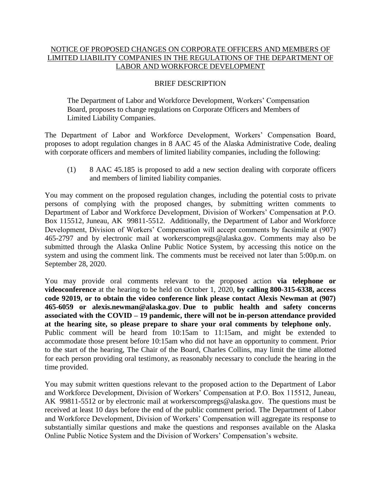## NOTICE OF PROPOSED CHANGES ON CORPORATE OFFICERS AND MEMBERS OF LIMITED LIABILITY COMPANIES IN THE REGULATIONS OF THE DEPARTMENT OF LABOR AND WORKFORCE DEVELOPMENT

## BRIEF DESCRIPTION

The Department of Labor and Workforce Development, Workers' Compensation Board, proposes to change regulations on Corporate Officers and Members of Limited Liability Companies.

The Department of Labor and Workforce Development, Workers' Compensation Board, proposes to adopt regulation changes in 8 AAC 45 of the Alaska Administrative Code, dealing with corporate officers and members of limited liability companies, including the following:

(1) 8 AAC 45.185 is proposed to add a new section dealing with corporate officers and members of limited liability companies.

You may comment on the proposed regulation changes, including the potential costs to private persons of complying with the proposed changes, by submitting written comments to Department of Labor and Workforce Development, Division of Workers' Compensation at P.O. Box 115512, Juneau, AK 99811-5512. Additionally, the Department of Labor and Workforce Development, Division of Workers' Compensation will accept comments by facsimile at (907) 465-2797 and by electronic mail at workerscompregs@alaska.gov. Comments may also be submitted through the Alaska Online Public Notice System, by accessing this notice on the system and using the comment link. The comments must be received not later than 5:00p.m. on September 28, 2020.

You may provide oral comments relevant to the proposed action **via telephone or videoconference** at the hearing to be held on October 1, 2020, **by calling 800-315-6338, access code 92019, or to obtain the video conference link please contact Alexis Newman at (907) 465-6059 or alexis.newman@alaska.gov**. **Due to public health and safety concerns associated with the COVID – 19 pandemic, there will not be in-person attendance provided at the hearing site, so please prepare to share your oral comments by telephone only.**  Public comment will be heard from 10:15am to 11:15am, and might be extended to accommodate those present before 10:15am who did not have an opportunity to comment. Prior to the start of the hearing, The Chair of the Board, Charles Collins, may limit the time allotted for each person providing oral testimony, as reasonably necessary to conclude the hearing in the time provided.

You may submit written questions relevant to the proposed action to the Department of Labor and Workforce Development, Division of Workers' Compensation at P.O. Box 115512, Juneau, AK 99811-5512 or by electronic mail at workerscompregs@alaska.gov. The questions must be received at least 10 days before the end of the public comment period. The Department of Labor and Workforce Development, Division of Workers' Compensation will aggregate its response to substantially similar questions and make the questions and responses available on the Alaska Online Public Notice System and the Division of Workers' Compensation's website.